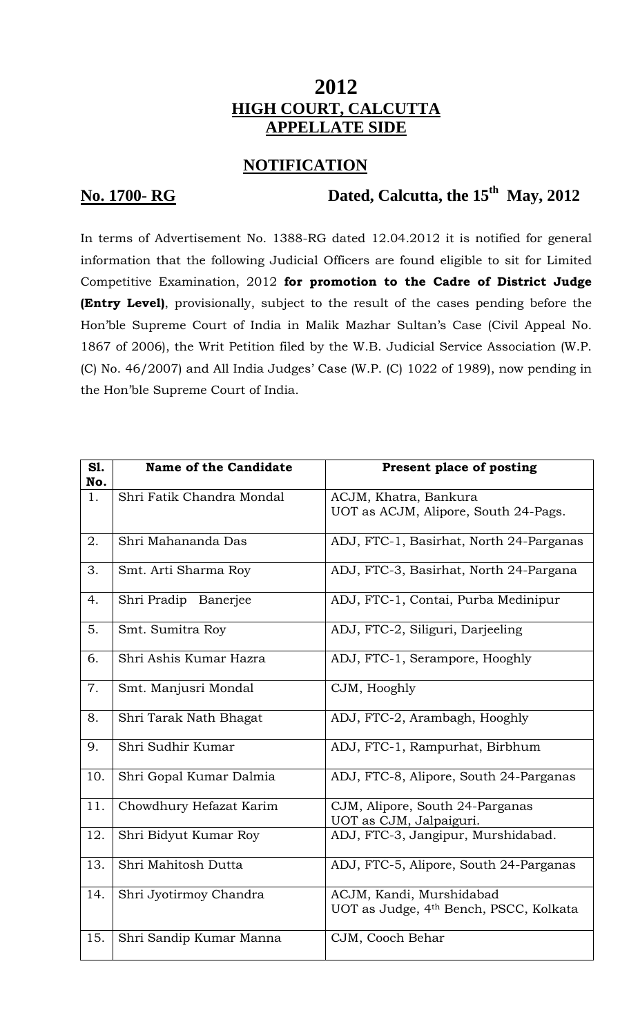## **2012 HIGH COURT, CALCUTTA APPELLATE SIDE**

## **NOTIFICATION**

# **No. 1700- RG Dated, Calcutta, the 15<sup>th</sup> May, 2012**

In terms of Advertisement No. 1388-RG dated 12.04.2012 it is notified for general information that the following Judicial Officers are found eligible to sit for Limited Competitive Examination, 2012 **for promotion to the Cadre of District Judge (Entry Level)**, provisionally, subject to the result of the cases pending before the Hon'ble Supreme Court of India in Malik Mazhar Sultan's Case (Civil Appeal No. 1867 of 2006), the Writ Petition filed by the W.B. Judicial Service Association (W.P. (C) No. 46/2007) and All India Judges' Case (W.P. (C) 1022 of 1989), now pending in the Hon'ble Supreme Court of India.

| S1. | Name of the Candidate     | Present place of posting                                   |
|-----|---------------------------|------------------------------------------------------------|
| No. |                           |                                                            |
| 1.  | Shri Fatik Chandra Mondal | ACJM, Khatra, Bankura                                      |
|     |                           | UOT as ACJM, Alipore, South 24-Pags.                       |
| 2.  | Shri Mahananda Das        | ADJ, FTC-1, Basirhat, North 24-Parganas                    |
| 3.  | Smt. Arti Sharma Roy      | ADJ, FTC-3, Basirhat, North 24-Pargana                     |
| 4.  | Shri Pradip Banerjee      | ADJ, FTC-1, Contai, Purba Medinipur                        |
| 5.  | Smt. Sumitra Roy          | ADJ, FTC-2, Siliguri, Darjeeling                           |
| 6.  | Shri Ashis Kumar Hazra    | ADJ, FTC-1, Serampore, Hooghly                             |
| 7.  | Smt. Manjusri Mondal      | CJM, Hooghly                                               |
| 8.  | Shri Tarak Nath Bhagat    | ADJ, FTC-2, Arambagh, Hooghly                              |
| 9.  | Shri Sudhir Kumar         | ADJ, FTC-1, Rampurhat, Birbhum                             |
| 10. | Shri Gopal Kumar Dalmia   | ADJ, FTC-8, Alipore, South 24-Parganas                     |
| 11. | Chowdhury Hefazat Karim   | CJM, Alipore, South 24-Parganas<br>UOT as CJM, Jalpaiguri. |
| 12. | Shri Bidyut Kumar Roy     | ADJ, FTC-3, Jangipur, Murshidabad.                         |
| 13. | Shri Mahitosh Dutta       | ADJ, FTC-5, Alipore, South 24-Parganas                     |
| 14. | Shri Jyotirmoy Chandra    | ACJM, Kandi, Murshidabad                                   |
|     |                           | UOT as Judge, 4 <sup>th</sup> Bench, PSCC, Kolkata         |
| 15. | Shri Sandip Kumar Manna   | CJM, Cooch Behar                                           |
|     |                           |                                                            |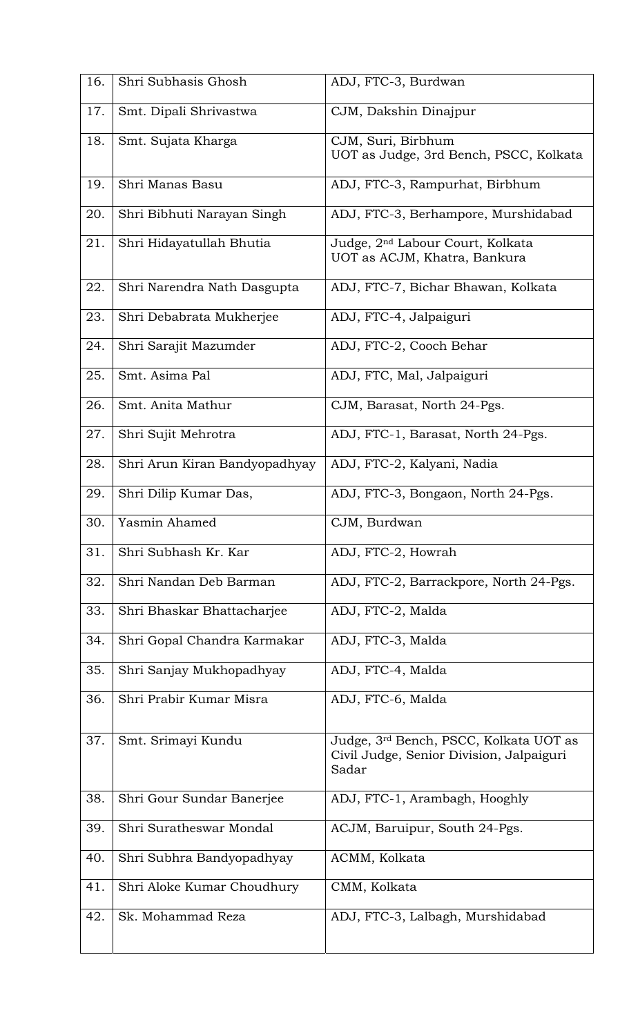| 16. | Shri Subhasis Ghosh           | ADJ, FTC-3, Burdwan                                                                         |
|-----|-------------------------------|---------------------------------------------------------------------------------------------|
| 17. | Smt. Dipali Shrivastwa        | CJM, Dakshin Dinajpur                                                                       |
| 18. | Smt. Sujata Kharga            | CJM, Suri, Birbhum<br>UOT as Judge, 3rd Bench, PSCC, Kolkata                                |
| 19. | Shri Manas Basu               | ADJ, FTC-3, Rampurhat, Birbhum                                                              |
| 20. | Shri Bibhuti Narayan Singh    | ADJ, FTC-3, Berhampore, Murshidabad                                                         |
| 21. | Shri Hidayatullah Bhutia      | Judge, 2 <sup>nd</sup> Labour Court, Kolkata<br>UOT as ACJM, Khatra, Bankura                |
| 22. | Shri Narendra Nath Dasgupta   | ADJ, FTC-7, Bichar Bhawan, Kolkata                                                          |
| 23. | Shri Debabrata Mukherjee      | ADJ, FTC-4, Jalpaiguri                                                                      |
| 24. | Shri Sarajit Mazumder         | ADJ, FTC-2, Cooch Behar                                                                     |
| 25. | Smt. Asima Pal                | ADJ, FTC, Mal, Jalpaiguri                                                                   |
| 26. | Smt. Anita Mathur             | CJM, Barasat, North 24-Pgs.                                                                 |
| 27. | Shri Sujit Mehrotra           | ADJ, FTC-1, Barasat, North 24-Pgs.                                                          |
| 28. | Shri Arun Kiran Bandyopadhyay | ADJ, FTC-2, Kalyani, Nadia                                                                  |
| 29. | Shri Dilip Kumar Das,         | ADJ, FTC-3, Bongaon, North 24-Pgs.                                                          |
| 30. | Yasmin Ahamed                 | CJM, Burdwan                                                                                |
| 31. | Shri Subhash Kr. Kar          | ADJ, FTC-2, Howrah                                                                          |
| 32. | Shri Nandan Deb Barman        | ADJ, FTC-2, Barrackpore, North 24-Pgs.                                                      |
| 33. | Shri Bhaskar Bhattacharjee    | ADJ, FTC-2, Malda                                                                           |
| 34. | Shri Gopal Chandra Karmakar   | ADJ, FTC-3, Malda                                                                           |
| 35. | Shri Sanjay Mukhopadhyay      | ADJ, FTC-4, Malda                                                                           |
| 36. | Shri Prabir Kumar Misra       | ADJ, FTC-6, Malda                                                                           |
| 37. | Smt. Srimayi Kundu            | Judge, 3rd Bench, PSCC, Kolkata UOT as<br>Civil Judge, Senior Division, Jalpaiguri<br>Sadar |
| 38. | Shri Gour Sundar Banerjee     | ADJ, FTC-1, Arambagh, Hooghly                                                               |
| 39. | Shri Suratheswar Mondal       | ACJM, Baruipur, South 24-Pgs.                                                               |
| 40. | Shri Subhra Bandyopadhyay     | ACMM, Kolkata                                                                               |
| 41. | Shri Aloke Kumar Choudhury    | CMM, Kolkata                                                                                |
| 42. | Sk. Mohammad Reza             | ADJ, FTC-3, Lalbagh, Murshidabad                                                            |